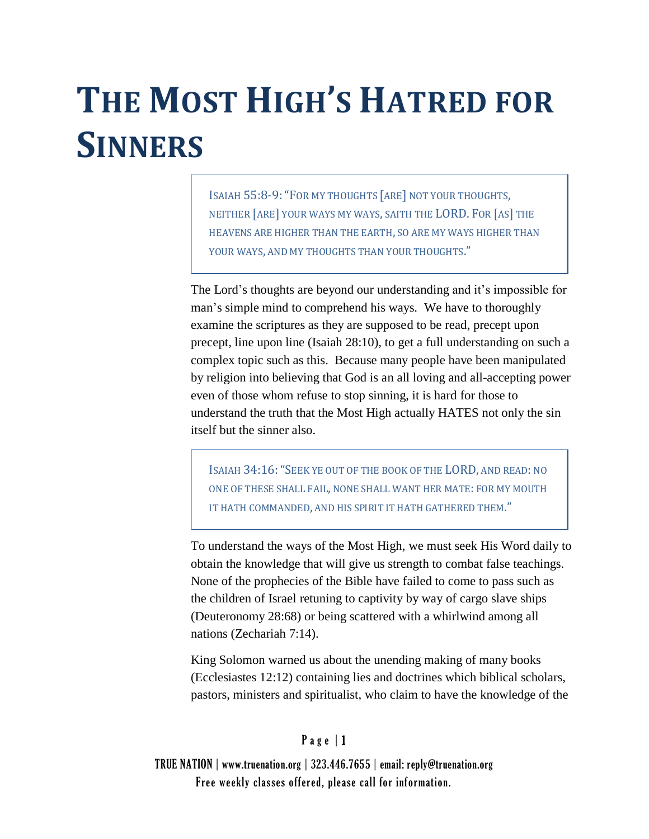# **THE MOST HIGH'S HATRED FOR SINNERS**

ISAIAH 55:8-9:"FOR MY THOUGHTS [ARE] NOT YOUR THOUGHTS, NEITHER [ARE] YOUR WAYS MY WAYS, SAITH THE LORD. FOR [AS] THE HEAVENS ARE HIGHER THAN THE EARTH, SO ARE MY WAYS HIGHER THAN YOUR WAYS, AND MY THOUGHTS THAN YOUR THOUGHTS."

The Lord's thoughts are beyond our understanding and it's impossible for man's simple mind to comprehend his ways. We have to thoroughly examine the scriptures as they are supposed to be read, precept upon precept, line upon line (Isaiah 28:10), to get a full understanding on such a complex topic such as this. Because many people have been manipulated by religion into believing that God is an all loving and all-accepting power even of those whom refuse to stop sinning, it is hard for those to understand the truth that the Most High actually HATES not only the sin itself but the sinner also.

ISAIAH 34:16:"SEEK YE OUT OF THE BOOK OF THE LORD, AND READ: NO ONE OF THESE SHALL FAIL, NONE SHALL WANT HER MATE: FOR MY MOUTH IT HATH COMMANDED, AND HIS SPIRIT IT HATH GATHERED THEM."

To understand the ways of the Most High, we must seek His Word daily to obtain the knowledge that will give us strength to combat false teachings. None of the prophecies of the Bible have failed to come to pass such as the children of Israel retuning to captivity by way of cargo slave ships (Deuteronomy 28:68) or being scattered with a whirlwind among all nations (Zechariah 7:14).

King Solomon warned us about the unending making of many books (Ecclesiastes 12:12) containing lies and doctrines which biblical scholars, pastors, ministers and spiritualist, who claim to have the knowledge of the

### $P$  a g e  $|1$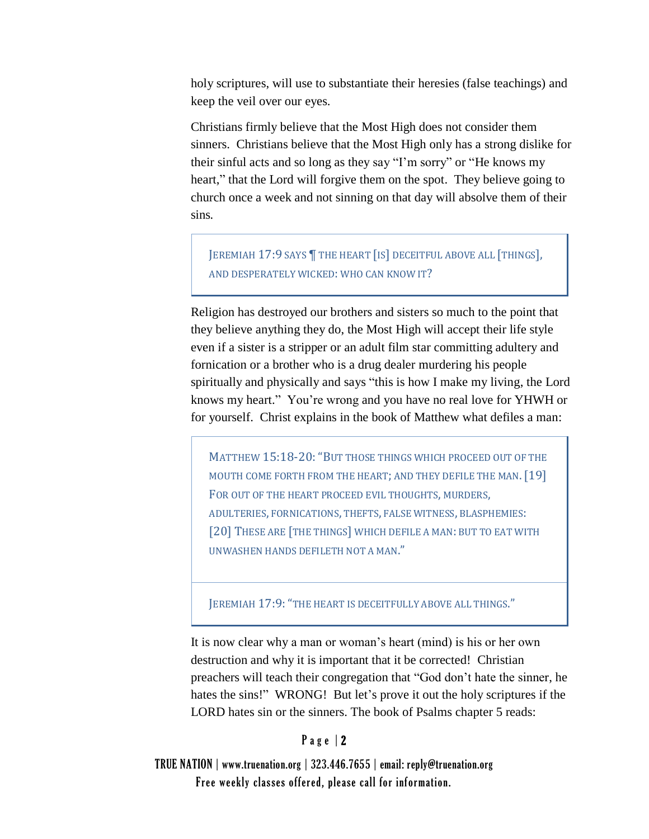holy scriptures, will use to substantiate their heresies (false teachings) and keep the veil over our eyes.

Christians firmly believe that the Most High does not consider them sinners. Christians believe that the Most High only has a strong dislike for their sinful acts and so long as they say "I'm sorry" or "He knows my heart," that the Lord will forgive them on the spot. They believe going to church once a week and not sinning on that day will absolve them of their sins*.*

JEREMIAH 17:9 SAYS | THE HEART [IS] DECEITFUL ABOVE ALL [THINGS], AND DESPERATELY WICKED: WHO CAN KNOW IT?

Religion has destroyed our brothers and sisters so much to the point that they believe anything they do, the Most High will accept their life style even if a sister is a stripper or an adult film star committing adultery and fornication or a brother who is a drug dealer murdering his people spiritually and physically and says "this is how I make my living, the Lord knows my heart." You're wrong and you have no real love for YHWH or for yourself. Christ explains in the book of Matthew what defiles a man:

MATTHEW [15:18-](http://www.blueletterbible.org/Bible.cfm?t=KJV&x=0&y=0&b=Mat&c=15&v=1#comm/18)20:"BUT THOSE THINGS WHICH PROCEED OUT OF THE MOUTH COME FORTH FROM THE HEART; AND THEY DEFILE THE MAN. [19] FOR OUT OF THE HEART PROCEED EVIL THOUGHTS, MURDERS, ADULTERIES, FORNICATIONS, THEFTS, FALSE WITNESS, BLASPHEMIES: [20] THESE ARE [THE THINGS] WHICH DEFILE A MAN: BUT TO EAT WITH UNWASHEN HANDS DEFILETH NOT A MAN."

JEREMIAH 17:9: "THE HEART IS DECEITFULLY ABOVE ALL THINGS."

It is now clear why a man or woman's heart (mind) is his or her own destruction and why it is important that it be corrected! Christian preachers will teach their congregation that "God don't hate the sinner, he hates the sins!" WRONG! But let's prove it out the holy scriptures if the LORD hates sin or the sinners. The book of Psalms chapter 5 reads:

#### Page | 2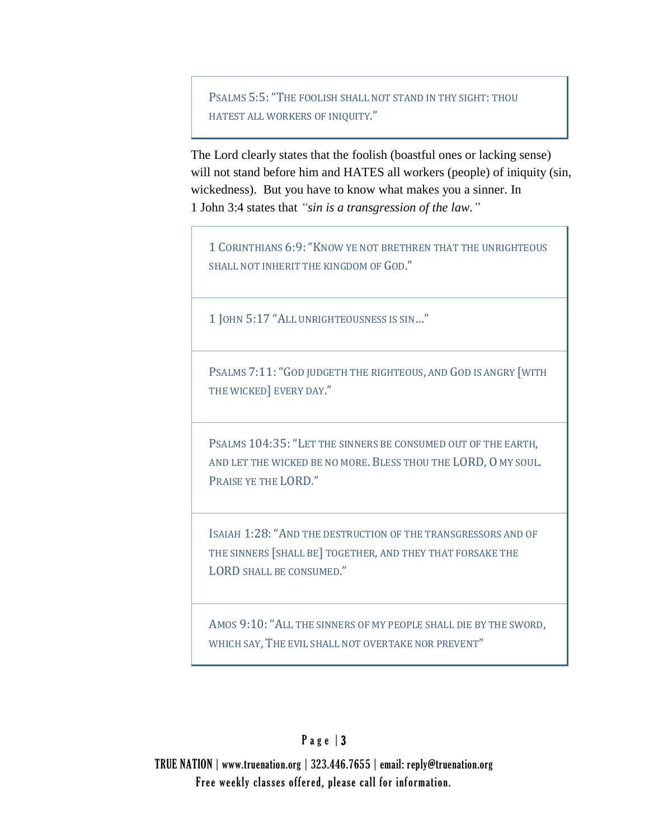P[SALMS](http://www.blueletterbible.org/Bible.cfm?t=KJV&x=0&y=0&b=Psa&c=5&v=1#comm/5) 5:5:"THE FOOLISH SHALL NOT STAND IN THY SIGHT: THOU HATEST ALL WORKERS OF INIQUITY."

The Lord clearly states that the foolish (boastful ones or lacking sense) will not stand before him and HATES all workers (people) of iniquity (sin, wickedness). But you have to know what makes you a sinner. In 1 John 3:4 states that *"sin is a transgression of the law."* 

1 CORINTHIANS 6:9:"KNOW YE NOT BRETHREN THAT THE UNRIGHTEOUS SHALL NOT INHERIT THE KINGDOM OF GOD."

1 JOHN 5:17 "ALL UNRIGHTEOUSNESS IS SIN…"

PSALMS [7:11:](http://www.blueletterbible.org/Bible.cfm?b=Psa&c=7&v=1&t=KJV#comm/11) "GOD JUDGETH THE RIGHTEOUS, AND GOD IS ANGRY [WITH THE WICKED] EVERY DAY."

PSALMS [104:35:](http://www.blueletterbible.org/Bible.cfm?b=Psa&c=104&t=KJV#comm/35)"LET THE SINNERS BE CONSUMED OUT OF THE EARTH, AND LET THE WICKED BE NO MORE. BLESS THOU THE LORD, O MY SOUL. PRAISE YE THE LORD."

ISAIAH [1:28:](http://www.blueletterbible.org/Bible.cfm?b=Isa&c=1&t=KJV#comm/28)"AND THE DESTRUCTION OF THE TRANSGRESSORS AND OF THE SINNERS [SHALL BE] TOGETHER, AND THEY THAT FORSAKE THE LORD SHALL BE CONSUMED."

AMOS [9:10:](http://www.blueletterbible.org/Bible.cfm?b=Amo&c=9&v=1&t=KJV#comm/10) "ALL THE SINNERS OF MY PEOPLE SHALL DIE BY THE SWORD, WHICH SAY, THE EVIL SHALL NOT OVERTAKE NOR PREVENT"

# Page  $|3$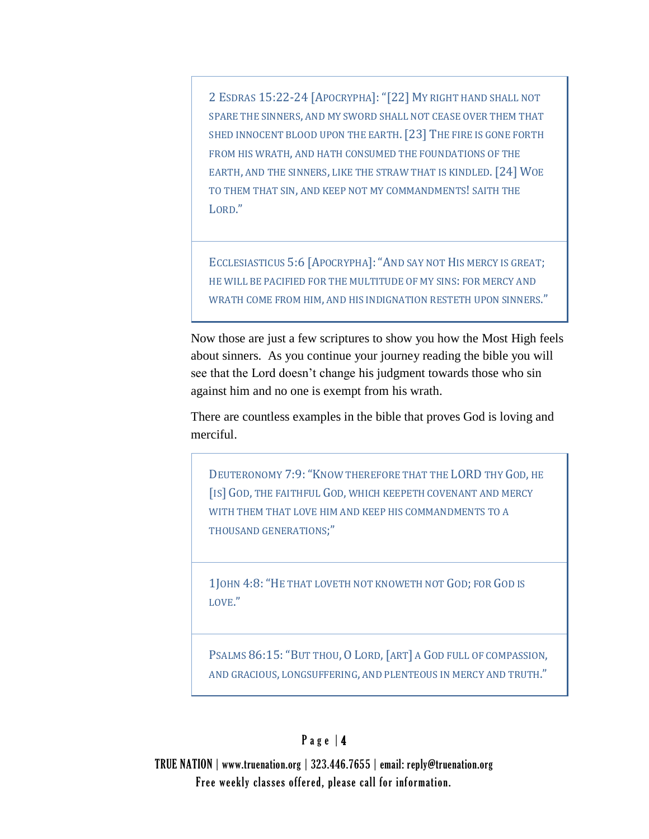2 ESDRAS 15:22-24 [APOCRYPHA]:"[22] MY RIGHT HAND SHALL NOT SPARE THE SINNERS, AND MY SWORD SHALL NOT CEASE OVER THEM THAT SHED INNOCENT BLOOD UPON THE EARTH. [23] THE FIRE IS GONE FORTH FROM HIS WRATH, AND HATH CONSUMED THE FOUNDATIONS OF THE EARTH, AND THE SINNERS, LIKE THE STRAW THAT IS KINDLED. [24] WOE TO THEM THAT SIN, AND KEEP NOT MY COMMANDMENTS! SAITH THE LORD."

ECCLESIASTICUS 5:6 [APOCRYPHA]:"AND SAY NOT HIS MERCY IS GREAT; HE WILL BE PACIFIED FOR THE MULTITUDE OF MY SINS: FOR MERCY AND WRATH COME FROM HIM, AND HIS INDIGNATION RESTETH UPON SINNERS."

Now those are just a few scriptures to show you how the Most High feels about sinners. As you continue your journey reading the bible you will see that the Lord doesn't change his judgment towards those who sin against him and no one is exempt from his wrath.

There are countless examples in the bible that proves God is loving and merciful.

DEUTERONOMY 7:9: "KNOW THEREFORE THAT THE LORD THY GOD, HE [IS] GOD, THE FAITHFUL GOD, WHICH KEEPETH COVENANT AND MERCY WITH THEM THAT LOVE HIM AND KEEP HIS COMMANDMENTS TO A THOUSAND GENERATIONS;"

1JOHN [4:8:](http://www.blueletterbible.org/Bible.cfm?b=1Jo&c=4&t=KJV#comm/8)"HE THAT LOVETH NOT KNOWETH NOT GOD; FOR GOD IS LOVE."

PSALMS [86:15:](http://www.blueletterbible.org/Bible.cfm?b=Psa&c=86&t=KJV#comm/15) "BUT THOU, O LORD, [ART] A GOD FULL OF COMPASSION, AND GRACIOUS, LONGSUFFERING, AND PLENTEOUS IN MERCY AND TRUTH."

# Page  $|4$